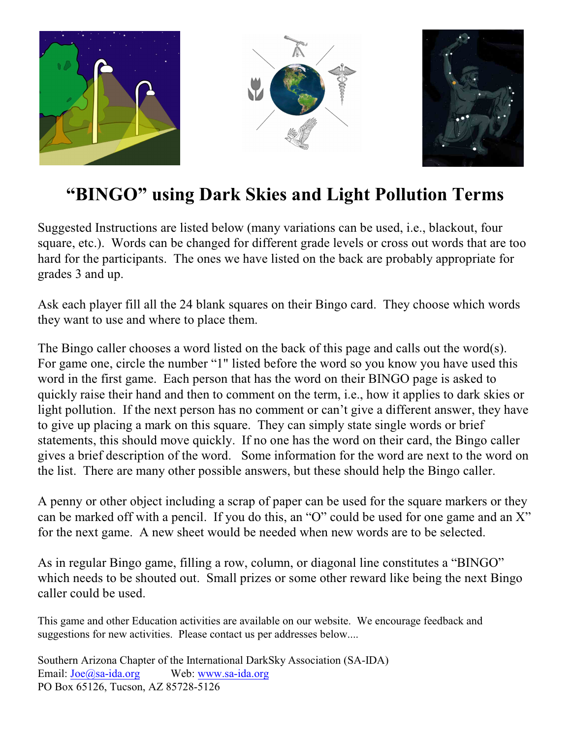

## **"BINGO" using Dark Skies and Light Pollution Terms**

Suggested Instructions are listed below (many variations can be used, i.e., blackout, four square, etc.). Words can be changed for different grade levels or cross out words that are too hard for the participants. The ones we have listed on the back are probably appropriate for grades 3 and up.

Ask each player fill all the 24 blank squares on their Bingo card. They choose which words they want to use and where to place them.

The Bingo caller chooses a word listed on the back of this page and calls out the word(s). For game one, circle the number "1" listed before the word so you know you have used this word in the first game. Each person that has the word on their BINGO page is asked to quickly raise their hand and then to comment on the term, i.e., how it applies to dark skies or light pollution. If the next person has no comment or can't give a different answer, they have to give up placing a mark on this square. They can simply state single words or brief statements, this should move quickly. If no one has the word on their card, the Bingo caller gives a brief description of the word. Some information for the word are next to the word on the list. There are many other possible answers, but these should help the Bingo caller.

A penny or other object including a scrap of paper can be used for the square markers or they can be marked off with a pencil. If you do this, an "O" could be used for one game and an X" for the next game. A new sheet would be needed when new words are to be selected.

As in regular Bingo game, filling a row, column, or diagonal line constitutes a "BINGO" which needs to be shouted out. Small prizes or some other reward like being the next Bingo caller could be used.

This game and other Education activities are available on our website. We encourage feedback and suggestions for new activities. Please contact us per addresses below....

Southern Arizona Chapter of the International DarkSky Association (SA-IDA) Email: [Joe@sa-ida.org](mailto:Joe@sa-ida.org) Web: [www.sa-ida.org](http://www.sa-ida.org) PO Box 65126, Tucson, AZ 85728-5126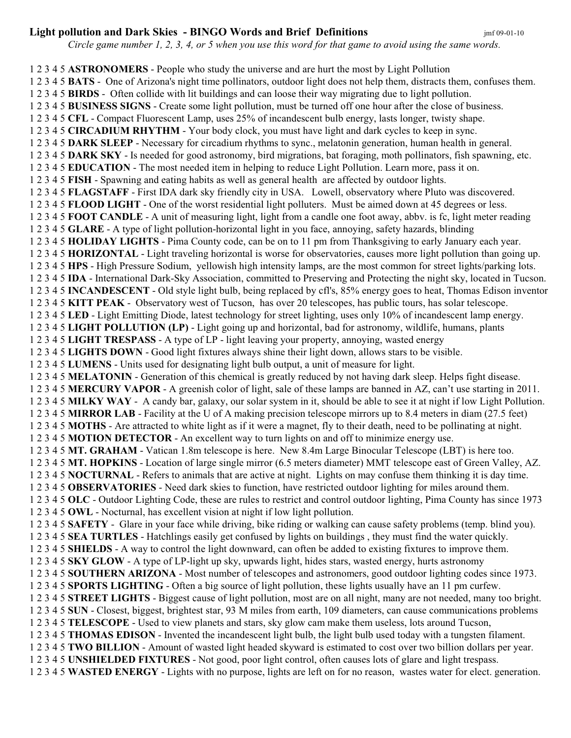## **Light pollution and Dark Skies - BINGO Words and Brief Definitions** *jmf* 09-01-10

 *Circle game number 1, 2, 3, 4, or 5 when you use this word for that game to avoid using the same words.*

1 2 3 4 5 **ASTRONOMERS** - People who study the universe and are hurt the most by Light Pollution 1 2 3 4 5 **BATS** - One of Arizona's night time pollinators, outdoor light does not help them, distracts them, confuses them. 1 2 3 4 5 **BIRDS** - Often collide with lit buildings and can loose their way migrating due to light pollution. 1 2 3 4 5 **BUSINESS SIGNS** - Create some light pollution, must be turned off one hour after the close of business. 1 2 3 4 5 **CFL** - Compact Fluorescent Lamp, uses 25% of incandescent bulb energy, lasts longer, twisty shape. 1 2 3 4 5 **CIRCADIUM RHYTHM** - Your body clock, you must have light and dark cycles to keep in sync. 1 2 3 4 5 **DARK SLEEP** - Necessary for circadium rhythms to sync., melatonin generation, human health in general. 1 2 3 4 5 **DARK SKY** - Is needed for good astronomy, bird migrations, bat foraging, moth pollinators, fish spawning, etc. 1 2 3 4 5 **EDUCATION** - The most needed item in helping to reduce Light Pollution. Learn more, pass it on. 1 2 3 4 5 **FISH** - Spawning and eating habits as well as general health are affected by outdoor lights. 1 2 3 4 5 **FLAGSTAFF** - First IDA dark sky friendly city in USA. Lowell, observatory where Pluto was discovered. 1 2 3 4 5 **FLOOD LIGHT** - One of the worst residential light polluters. Must be aimed down at 45 degrees or less. 1 2 3 4 5 **FOOT CANDLE** - A unit of measuring light, light from a candle one foot away, abbv. is fc, light meter reading 1 2 3 4 5 **GLARE** - A type of light pollution-horizontal light in you face, annoying, safety hazards, blinding 1 2 3 4 5 **HOLIDAY LIGHTS** - Pima County code, can be on to 11 pm from Thanksgiving to early January each year. 1 2 3 4 5 **HORIZONTAL** - Light traveling horizontal is worse for observatories, causes more light pollution than going up. 1 2 3 4 5 **HPS** - High Pressure Sodium, yellowish high intensity lamps, are the most common for street lights/parking lots. 1 2 3 4 5 **IDA** - International Dark-Sky Association, committed to Preserving and Protecting the night sky, located in Tucson. 1 2 3 4 5 **INCANDESCENT** - Old style light bulb, being replaced by cfl's, 85% energy goes to heat, Thomas Edison inventor 1 2 3 4 5 **KITT PEAK** - Observatory west of Tucson, has over 20 telescopes, has public tours, has solar telescope. 1 2 3 4 5 **LED** - Light Emitting Diode, latest technology for street lighting, uses only 10% of incandescent lamp energy. 1 2 3 4 5 **LIGHT POLLUTION (LP)** - Light going up and horizontal, bad for astronomy, wildlife, humans, plants 1 2 3 4 5 **LIGHT TRESPASS** - A type of LP - light leaving your property, annoying, wasted energy 1 2 3 4 5 **LIGHTS DOWN** - Good light fixtures always shine their light down, allows stars to be visible. 1 2 3 4 5 **LUMENS** - Units used for designating light bulb output, a unit of measure for light. 1 2 3 4 5 **MELATONIN** - Generation of this chemical is greatly reduced by not having dark sleep. Helps fight disease. 1 2 3 4 5 **MERCURY VAPOR** - A greenish color of light, sale of these lamps are banned in AZ, can't use starting in 2011. 1 2 3 4 5 **MILKY WAY** - A candy bar, galaxy, our solar system in it, should be able to see it at night if low Light Pollution. 1 2 3 4 5 **MIRROR LAB** - Facility at the U of A making precision telescope mirrors up to 8.4 meters in diam (27.5 feet) 1 2 3 4 5 **MOTHS** - Are attracted to white light as if it were a magnet, fly to their death, need to be pollinating at night. 1 2 3 4 5 **MOTION DETECTOR** - An excellent way to turn lights on and off to minimize energy use. 1 2 3 4 5 **MT. GRAHAM** - Vatican 1.8m telescope is here. New 8.4m Large Binocular Telescope (LBT) is here too. 1 2 3 4 5 **MT. HOPKINS** - Location of large single mirror (6.5 meters diameter) MMT telescope east of Green Valley, AZ. 1 2 3 4 5 **NOCTURNAL** - Refers to animals that are active at night. Lights on may confuse them thinking it is day time. 1 2 3 4 5 **OBSERVATORIES** - Need dark skies to function, have restricted outdoor lighting for miles around them. 1 2 3 4 5 **OLC** - Outdoor Lighting Code, these are rules to restrict and control outdoor lighting, Pima County has since 1973 1 2 3 4 5 **OWL** - Nocturnal, has excellent vision at night if low light pollution. 1 2 3 4 5 **SAFETY** - Glare in your face while driving, bike riding or walking can cause safety problems (temp. blind you). 1 2 3 4 5 **SEA TURTLES** - Hatchlings easily get confused by lights on buildings , they must find the water quickly. 1 2 3 4 5 **SHIELDS** - A way to control the light downward, can often be added to existing fixtures to improve them. 1 2 3 4 5 **SKY GLOW** - A type of LP-light up sky, upwards light, hides stars, wasted energy, hurts astronomy 1 2 3 4 5 **SOUTHERN ARIZONA** - Most number of telescopes and astronomers, good outdoor lighting codes since 1973. 1 2 3 4 5 **SPORTS LIGHTING** - Often a big source of light pollution, these lights usually have an 11 pm curfew. 1 2 3 4 5 **STREET LIGHTS** - Biggest cause of light pollution, most are on all night, many are not needed, many too bright. 1 2 3 4 5 **SUN** - Closest, biggest, brightest star, 93 M miles from earth, 109 diameters, can cause communications problems 1 2 3 4 5 **TELESCOPE** - Used to view planets and stars, sky glow cam make them useless, lots around Tucson, 1 2 3 4 5 **THOMAS EDISON** - Invented the incandescent light bulb, the light bulb used today with a tungsten filament. 1 2 3 4 5 **TWO BILLION** - Amount of wasted light headed skyward is estimated to cost over two billion dollars per year. 1 2 3 4 5 **UNSHIELDED FIXTURES** - Not good, poor light control, often causes lots of glare and light trespass. 1 2 3 4 5 **WASTED ENERGY** - Lights with no purpose, lights are left on for no reason, wastes water for elect. generation.